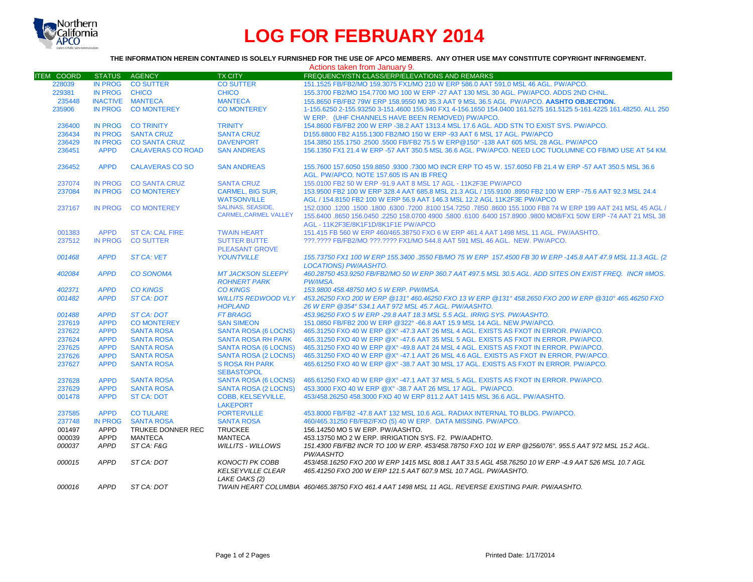

## **LOG FOR FEBRUARY 2014**

## **THE INFORMATION HEREIN CONTAINED IS SOLELY FURNISHED FOR THE USE OF APCO MEMBERS. ANY OTHER USE MAY CONSTITUTE COPYRIGHT INFRINGEMENT.**

|                   |                            |                                         |                                                                     | Actions taken from January 9.                                                                                                                                                |
|-------------------|----------------------------|-----------------------------------------|---------------------------------------------------------------------|------------------------------------------------------------------------------------------------------------------------------------------------------------------------------|
| <b>ITEM COORD</b> | STATUS AGENCY              |                                         | <b>TX CITY</b>                                                      | FREQUENCY/STN CLASS/ERP/ELEVATIONS AND REMARKS                                                                                                                               |
| 228039            | <b>IN PROG</b>             | <b>CO SUTTER</b>                        | <b>CO SUTTER</b>                                                    | 151.1525 FB/FB2/MO 159.3075 FX1/MO 210 W ERP 586.0 AAT 591.0 MSL 46 AGL. PW/APCO.                                                                                            |
| 229381            | <b>IN PROG</b>             | <b>CHICO</b>                            | <b>CHICO</b>                                                        | 155.3700 FB2/MO 154.7700 MO 100 W ERP -27 AAT 130 MSL 30 AGL. PW/APCO. ADDS 2ND CHNL.                                                                                        |
| 235448            |                            | <b>INACTIVE MANTECA</b>                 | <b>MANTECA</b>                                                      | 155.8650 FB/FB2 79W ERP 158.9550 M0 35.3 AAT 9 MSL 36.5 AGL PW/APCO. AASHTO OBJECTION.                                                                                       |
| 235906            | IN PROG                    | <b>CO MONTEREY</b>                      | <b>CO MONTEREY</b>                                                  | 1-155.6250 2-155.93250 3-151.4600 155.940 FX1 4-156.1650 154.0400 161.5275 161.5125 5-161.4225 161.48250. ALL 250                                                            |
|                   |                            |                                         |                                                                     | W ERP. (UHF CHANNELS HAVE BEEN REMOVED) PW/APCO.                                                                                                                             |
| 236400            | <b>IN PROG</b>             | <b>CO TRINITY</b>                       | <b>TRINITY</b>                                                      | 154.8600 FB/FB2 200 W ERP -38.2 AAT 1313.4 MSL 17.6 AGL. ADD STN TO EXIST SYS. PW/APCO.                                                                                      |
| 236434            | <b>IN PROG</b>             | <b>SANTA CRUZ</b>                       | <b>SANTA CRUZ</b>                                                   | D155.8800 FB2 A155.1300 FB2/MO 150 W ERP -93 AAT 6 MSL 17 AGL, PW/APCO                                                                                                       |
| 236429            | <b>IN PROG</b>             | <b>CO SANTA CRUZ</b>                    | <b>DAVENPORT</b>                                                    | 154,3850 155,1750 .2500 .5500 FB/FB2 75.5 W ERP@150° -138 AAT 605 MSL 28 AGL, PW/APCO                                                                                        |
| 236451            | <b>APPD</b>                | <b>CALAVERAS CO ROAD</b>                | <b>SAN ANDREAS</b>                                                  | 156.1350 FX1 21.4 W ERP -57 AAT 350.5 MSL 36.6 AGL. PW/APCO. NEED LOC TUOLUMNE CO FB/MO USE AT 54 KM.                                                                        |
| 236452            | <b>APPD</b>                | <b>CALAVERAS CO SO</b>                  | <b>SAN ANDREAS</b>                                                  | 155.7600 157.6050 159.8850 .9300 .7300 MO INCR ERP TO 45 W. 157.6050 FB 21.4 W ERP -57 AAT 350.5 MSL 36.6<br>AGL. PW/APCO. NOTE 157.605 IS AN IB FREQ                        |
| 237074            | <b>IN PROG</b>             | <b>CO SANTA CRUZ</b>                    | <b>SANTA CRUZ</b>                                                   | 155.0100 FB2 50 W ERP -91.9 AAT 8 MSL 17 AGL - 11K2F3E PW/APCO                                                                                                               |
| 237084            | <b>IN PROG</b>             | <b>CO MONTEREY</b>                      | <b>CARMEL, BIG SUR,</b>                                             | 153,9500 FB2 100 W ERP 328.4 AAT 685.8 MSL 21.3 AGL / 155,9100 .8950 FB2 100 W ERP -75.6 AAT 92.3 MSL 24.4                                                                   |
|                   |                            |                                         | <b>WATSONVILLE</b>                                                  | AGL / 154.8150 FB2 100 W ERP 56.9 AAT 146.3 MSL 12.2 AGL 11K2F3E PW/APCO                                                                                                     |
| 237167            | <b>IN PROG</b>             | <b>CO MONTEREY</b>                      | <b>SALINAS, SEASIDE,</b>                                            | 152,0300 1200 1500 16300 .7200 .8100 154,7250 .7850 .8600 155,1000 FB8 74 W ERP 199 AAT 241 MSL 45 AGL /                                                                     |
|                   |                            |                                         | <b>CARMEL.CARMEL VALLEY</b>                                         | 155.6400 .8650 156.0450 .2250 158.0700 4900 .5800 .6100 .6400 157.8900 .9800 MO8/FX1 50W ERP -74 AAT 21 MSL 38                                                               |
|                   |                            |                                         |                                                                     | AGL - 11K2F3E/8K1F1D/8K1F1E PW/APCO                                                                                                                                          |
| 001383            | <b>APPD</b>                | <b>ST CA: CAL FIRE</b>                  | <b>TWAIN HEART</b>                                                  | 151.415 FB 560 W ERP 460/465.38750 FXO 6 W ERP 461.4 AAT 1498 MSL 11 AGL, PW/AASHTO.                                                                                         |
| 237512            | IN PROG                    | <b>CO SUTTER</b>                        | <b>SUTTER BUTTE</b>                                                 | ???.???? FB/FB2/MO ???.???? FX1/MO 544.8 AAT 591 MSL 46 AGL. NEW. PW/APCO.                                                                                                   |
|                   |                            |                                         | <b>PLEASANT GROVE</b>                                               |                                                                                                                                                                              |
| 001468            | <b>APPD</b>                | <b>ST CA: VET</b>                       | <b>YOUNTVILLE</b>                                                   | 155.73750 FX1 100 W ERP 155.3400 .3550 FB/MO 75 W ERP 157.4500 FB 30 W ERP -145.8 AAT 47.9 MSL 11.3 AGL. (2<br><b>LOCATIONS) PW/AASHTO.</b>                                  |
| 402084            | <b>APPD</b>                | <b>CO SONOMA</b>                        | <b>MT JACKSON SLEEPY</b>                                            | 460.28750 453.9250 FB/FB2/MO 50 W ERP 360.7 AAT 497.5 MSL 30.5 AGL. ADD SITES ON EXIST FREQ. INCR #MOS.                                                                      |
|                   |                            |                                         | <b>ROHNERT PARK</b>                                                 | PW/IMSA.                                                                                                                                                                     |
| 402371            | <b>APPD</b>                | <b>CO KINGS</b>                         | <b>CO KINGS</b>                                                     | 153.9800 458.48750 MO 5 W ERP. PW/IMSA.                                                                                                                                      |
| 001482            | <b>APPD</b>                | <b>ST CA: DOT</b>                       | <b>WILLITS REDWOOD VLY</b>                                          | 453,26250 FXO 200 W ERP @131° 460,46250 FXO 13 W ERP @131° 458,2650 FXO 200 W ERP @310° 465,46250 FXO                                                                        |
|                   |                            |                                         | <b>HOPLAND</b><br><b>FT BRAGG</b>                                   | 26 W ERP @354° 534.1 AAT 972 MSL 45.7 AGL. PW/AASHTO.                                                                                                                        |
| 001488<br>237619  | <b>APPD</b><br><b>APPD</b> | <b>ST CA: DOT</b><br><b>CO MONTEREY</b> | <b>SAN SIMEON</b>                                                   | 453,96250 FXO 5 W ERP -29.8 AAT 18.3 MSL 5.5 AGL. IRRIG SYS. PW/AASHTO.<br>151.0850 FB/FB2 200 W ERP @322° -66.8 AAT 15.9 MSL 14 AGL. NEW.PW/APCO.                           |
|                   |                            |                                         |                                                                     |                                                                                                                                                                              |
| 237622<br>237624  | <b>APPD</b>                | <b>SANTA ROSA</b><br><b>SANTA ROSA</b>  | <b>SANTA ROSA (6 LOCNS)</b><br><b>SANTA ROSA RH PARK</b>            | 465.31250 FXO 40 W ERP @X° -47.3 AAT 26 MSL 4 AGL. EXISTS AS FXOT IN ERROR. PW/APCO.<br>465.31250 FXO 40 W ERP @X° -47.6 AAT 35 MSL 5 AGL. EXISTS AS FXOT IN ERROR. PW/APCO. |
| 237625            | <b>APPD</b><br><b>APPD</b> | <b>SANTA ROSA</b>                       | SANTA ROSA (6 LOCNS)                                                | 465.31250 FXO 40 W ERP @X° -49.8 AAT 24 MSL 4 AGL. EXISTS AS FXOT IN ERROR. PW/APCO.                                                                                         |
| 237626            | <b>APPD</b>                | <b>SANTA ROSA</b>                       | SANTA ROSA (2 LOCNS)                                                | 465,31250 FXO 40 W ERP @X° -47,1 AAT 26 MSL 4.6 AGL, EXISTS AS FXOT IN ERROR, PW/APCO,                                                                                       |
| 237627            | <b>APPD</b>                | <b>SANTA ROSA</b>                       | <b>S ROSA RH PARK</b>                                               | 465.61250 FXO 40 W ERP @X° -38.7 AAT 30 MSL 17 AGL. EXISTS AS FXOT IN ERROR. PW/APCO.                                                                                        |
|                   |                            |                                         | <b>SEBASTOPOL</b>                                                   |                                                                                                                                                                              |
| 237628            | <b>APPD</b>                | <b>SANTA ROSA</b>                       | <b>SANTA ROSA (6 LOCNS)</b>                                         | 465,61250 FXO 40 W ERP @X° -47.1 AAT 37 MSL 5 AGL. EXISTS AS FXOT IN ERROR, PW/APCO,                                                                                         |
| 237629            | <b>APPD</b>                | <b>SANTA ROSA</b>                       | SANTA ROSA (2 LOCNS)                                                | 453,3000 FXO 40 W ERP @X° -38.7 AAT 26 MSL 17 AGL. PW/APCO.                                                                                                                  |
| 001478            | <b>APPD</b>                | <b>ST CA: DOT</b>                       | COBB, KELSEYVILLE,<br><b>LAKEPORT</b>                               | 453/458.26250 458.3000 FXO 40 W ERP 811.2 AAT 1415 MSL 36.6 AGL, PW/AASHTO.                                                                                                  |
| 237585            | <b>APPD</b>                | <b>CO TULARE</b>                        | <b>PORTERVILLE</b>                                                  | 453.8000 FB/FB2 -47.8 AAT 132 MSL 10.6 AGL. RADIAX INTERNAL TO BLDG. PW/APCO.                                                                                                |
| 237748            | <b>IN PROG</b>             | <b>SANTA ROSA</b>                       | <b>SANTA ROSA</b>                                                   | 460/465.31250 FB/FB2/FXO (5) 40 W ERP. DATA MISSING. PW/APCO.                                                                                                                |
| 001497            | APPD                       | TRUKEE DONNER REC                       | <b>TRUCKEE</b>                                                      | 156.14250 MO 5 W ERP. PW/AASHTO.                                                                                                                                             |
| 000039            | <b>APPD</b>                | <b>MANTECA</b>                          | <b>MANTECA</b>                                                      | 453.13750 MO 2 W ERP. IRRIGATION SYS. F2. PW/AADHTO.                                                                                                                         |
| 000037            | <b>APPD</b>                | ST CA: F&G                              | <b>WILLITS - WILLOWS</b>                                            | 151.4300 FB/FB2 INCR TO 100 W ERP. 453/458.78750 FXO 101 W ERP @256/076°. 955.5 AAT 972 MSL 15.2 AGL.<br>PW/AASHTO                                                           |
| 000015            | <b>APPD</b>                | ST CA: DOT                              | <b>KONOCTI PK COBB</b><br><b>KELSEYVILLE CLEAR</b><br>LAKE OAKS (2) | 453/458.16250 FXO 200 W ERP 1415 MSL 808.1 AAT 33.5 AGL 458.76250 10 W ERP -4.9 AAT 526 MSL 10.7 AGL<br>465.41250 FXO 200 W ERP 121.5 AAT 607.9 MSL 10.7 AGL. PW/AASHTO.     |
| 000016            | APPD                       | ST CA: DOT                              |                                                                     | TWAIN HEART COLUMBIA 460/465.38750 FXO 461.4 AAT 1498 MSL 11 AGL. REVERSE EXISTING PAIR. PW/AASHTO.                                                                          |